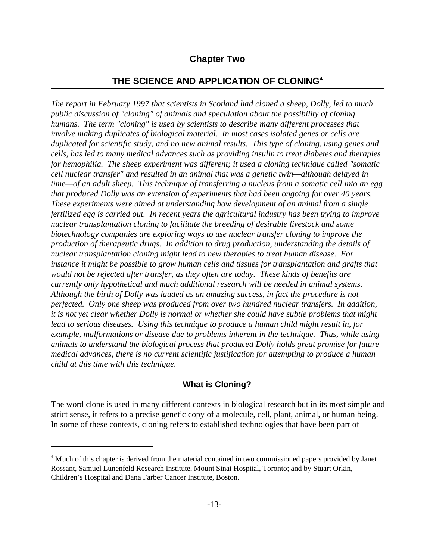## **Chapter Two**

# **THE SCIENCE AND APPLICATION OF CLONING<sup>4</sup>**

*The report in February 1997 that scientists in Scotland had cloned a sheep, Dolly, led to much public discussion of "cloning" of animals and speculation about the possibility of cloning humans. The term "cloning" is used by scientists to describe many different processes that involve making duplicates of biological material. In most cases isolated genes or cells are duplicated for scientific study, and no new animal results. This type of cloning, using genes and cells, has led to many medical advances such as providing insulin to treat diabetes and therapies for hemophilia. The sheep experiment was different; it used a cloning technique called "somatic cell nuclear transfer" and resulted in an animal that was a genetic twin—although delayed in time—of an adult sheep. This technique of transferring a nucleus from a somatic cell into an egg that produced Dolly was an extension of experiments that had been ongoing for over 40 years. These experiments were aimed at understanding how development of an animal from a single fertilized egg is carried out. In recent years the agricultural industry has been trying to improve nuclear transplantation cloning to facilitate the breeding of desirable livestock and some biotechnology companies are exploring ways to use nuclear transfer cloning to improve the production of therapeutic drugs. In addition to drug production, understanding the details of nuclear transplantation cloning might lead to new therapies to treat human disease. For instance it might be possible to grow human cells and tissues for transplantation and grafts that would not be rejected after transfer, as they often are today. These kinds of benefits are currently only hypothetical and much additional research will be needed in animal systems. Although the birth of Dolly was lauded as an amazing success, in fact the procedure is not perfected. Only one sheep was produced from over two hundred nuclear transfers. In addition, it is not yet clear whether Dolly is normal or whether she could have subtle problems that might lead to serious diseases. Using this technique to produce a human child might result in, for example, malformations or disease due to problems inherent in the technique. Thus, while using animals to understand the biological process that produced Dolly holds great promise for future medical advances, there is no current scientific justification for attempting to produce a human child at this time with this technique.* 

## **What is Cloning?**

The word clone is used in many different contexts in biological research but in its most simple and strict sense, it refers to a precise genetic copy of a molecule, cell, plant, animal, or human being. In some of these contexts, cloning refers to established technologies that have been part of

<sup>&</sup>lt;sup>4</sup> Much of this chapter is derived from the material contained in two commissioned papers provided by Janet Rossant, Samuel Lunenfeld Research Institute, Mount Sinai Hospital, Toronto; and by Stuart Orkin, Children's Hospital and Dana Farber Cancer Institute, Boston.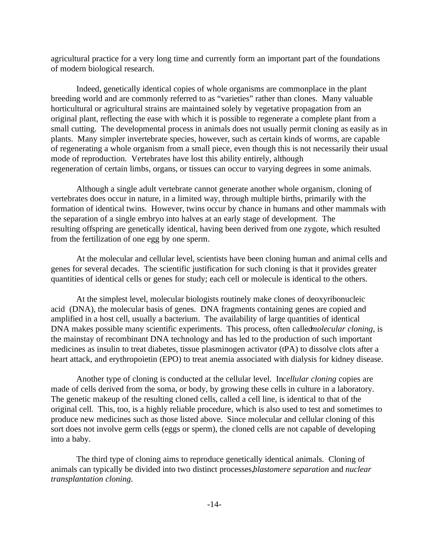agricultural practice for a very long time and currently form an important part of the foundations of modern biological research.

Indeed, genetically identical copies of whole organisms are commonplace in the plant breeding world and are commonly referred to as "varieties" rather than clones. Many valuable horticultural or agricultural strains are maintained solely by vegetative propagation from an original plant, reflecting the ease with which it is possible to regenerate a complete plant from a small cutting. The developmental process in animals does not usually permit cloning as easily as in plants. Many simpler invertebrate species, however, such as certain kinds of worms, are capable of regenerating a whole organism from a small piece, even though this is not necessarily their usual mode of reproduction. Vertebrates have lost this ability entirely, although regeneration of certain limbs, organs, or tissues can occur to varying degrees in some animals.

Although a single adult vertebrate cannot generate another whole organism, cloning of vertebrates does occur in nature, in a limited way, through multiple births, primarily with the formation of identical twins. However, twins occur by chance in humans and other mammals with the separation of a single embryo into halves at an early stage of development. The resulting offspring are genetically identical, having been derived from one zygote, which resulted from the fertilization of one egg by one sperm.

At the molecular and cellular level, scientists have been cloning human and animal cells and genes for several decades. The scientific justification for such cloning is that it provides greater quantities of identical cells or genes for study; each cell or molecule is identical to the others.

At the simplest level, molecular biologists routinely make clones of deoxyribonucleic acid (DNA), the molecular basis of genes. DNA fragments containing genes are copied and amplified in a host cell, usually a bacterium. The availability of large quantities of identical DNA makes possible many scientific experiments. This process, often called *molecular cloning*, is the mainstay of recombinant DNA technology and has led to the production of such important medicines as insulin to treat diabetes, tissue plasminogen activator (tPA) to dissolve clots after a heart attack, and erythropoietin (EPO) to treat anemia associated with dialysis for kidney disease.

Another type of cloning is conducted at the cellular level. Incellular *cloning* copies are made of cells derived from the soma, or body, by growing these cells in culture in a laboratory. The genetic makeup of the resulting cloned cells, called a cell line, is identical to that of the original cell. This, too, is a highly reliable procedure, which is also used to test and sometimes to produce new medicines such as those listed above. Since molecular and cellular cloning of this sort does not involve germ cells (eggs or sperm), the cloned cells are not capable of developing into a baby.

The third type of cloning aims to reproduce genetically identical animals. Cloning of animals can typically be divided into two distinct processes, *blastomere separation* and *nuclear transplantation cloning.*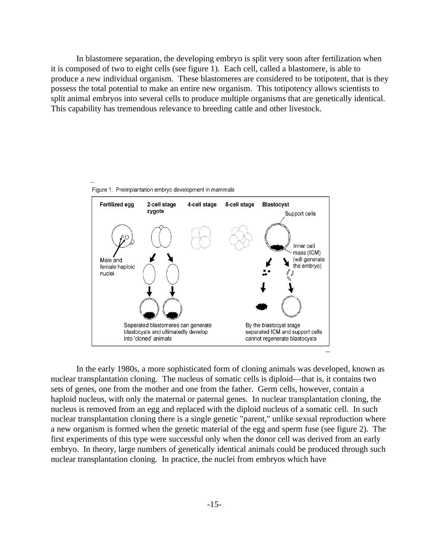In blastomere separation, the developing embryo is split very soon after fertilization when it is composed of two to eight cells (see figure 1). Each cell, called a blastomere, is able to produce a new individual organism. These blastomeres are considered to be totipotent, that is they possess the total potential to make an entire new organism. This totipotency allows scientists to split animal embryos into several cells to produce multiple organisms that are genetically identical. This capability has tremendous relevance to breeding cattle and other livestock.





In the early 1980s, a more sophisticated form of cloning animals was developed, known as nuclear transplantation cloning. The nucleus of somatic cells is diploid—that is, it contains two sets of genes, one from the mother and one from the father. Germ cells, however, contain a haploid nucleus, with only the maternal or paternal genes. In nuclear transplantation cloning, the nucleus is removed from an egg and replaced with the diploid nucleus of a somatic cell. In such nuclear transplantation cloning there is a single genetic "parent," unlike sexual reproduction where a new organism is formed when the genetic material of the egg and sperm fuse (see figure 2). The first experiments of this type were successful only when the donor cell was derived from an early embryo. In theory, large numbers of genetically identical animals could be produced through such nuclear transplantation cloning. In practice, the nuclei from embryos which have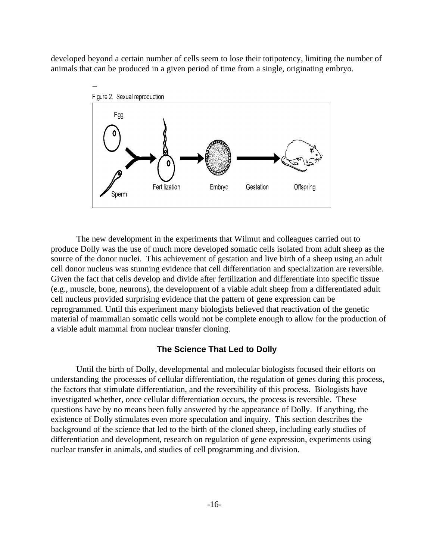developed beyond a certain number of cells seem to lose their totipotency, limiting the number of animals that can be produced in a given period of time from a single, originating embryo.



The new development in the experiments that Wilmut and colleagues carried out to produce Dolly was the use of much more developed somatic cells isolated from adult sheep as the source of the donor nuclei. This achievement of gestation and live birth of a sheep using an adult cell donor nucleus was stunning evidence that cell differentiation and specialization are reversible. Given the fact that cells develop and divide after fertilization and differentiate into specific tissue (e.g., muscle, bone, neurons), the development of a viable adult sheep from a differentiated adult cell nucleus provided surprising evidence that the pattern of gene expression can be reprogrammed. Until this experiment many biologists believed that reactivation of the genetic material of mammalian somatic cells would not be complete enough to allow for the production of a viable adult mammal from nuclear transfer cloning.

#### **The Science That Led to Dolly**

Until the birth of Dolly, developmental and molecular biologists focused their efforts on understanding the processes of cellular differentiation, the regulation of genes during this process, the factors that stimulate differentiation, and the reversibility of this process. Biologists have investigated whether, once cellular differentiation occurs, the process is reversible. These questions have by no means been fully answered by the appearance of Dolly. If anything, the existence of Dolly stimulates even more speculation and inquiry. This section describes the background of the science that led to the birth of the cloned sheep, including early studies of differentiation and development, research on regulation of gene expression, experiments using nuclear transfer in animals, and studies of cell programming and division.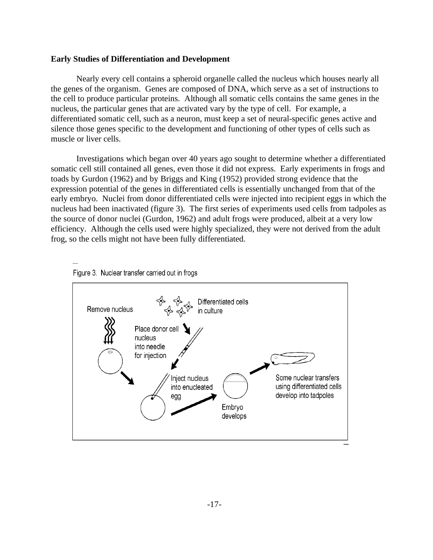### **Early Studies of Differentiation and Development**

Nearly every cell contains a spheroid organelle called the nucleus which houses nearly all the genes of the organism. Genes are composed of DNA, which serve as a set of instructions to the cell to produce particular proteins. Although all somatic cells contains the same genes in the nucleus, the particular genes that are activated vary by the type of cell. For example, a differentiated somatic cell, such as a neuron, must keep a set of neural-specific genes active and silence those genes specific to the development and functioning of other types of cells such as muscle or liver cells.

Investigations which began over 40 years ago sought to determine whether a differentiated somatic cell still contained all genes, even those it did not express. Early experiments in frogs and toads by Gurdon (1962) and by Briggs and King (1952) provided strong evidence that the expression potential of the genes in differentiated cells is essentially unchanged from that of the early embryo. Nuclei from donor differentiated cells were injected into recipient eggs in which the nucleus had been inactivated (figure 3). The first series of experiments used cells from tadpoles as the source of donor nuclei (Gurdon, 1962) and adult frogs were produced, albeit at a very low efficiency. Although the cells used were highly specialized, they were not derived from the adult frog, so the cells might not have been fully differentiated.



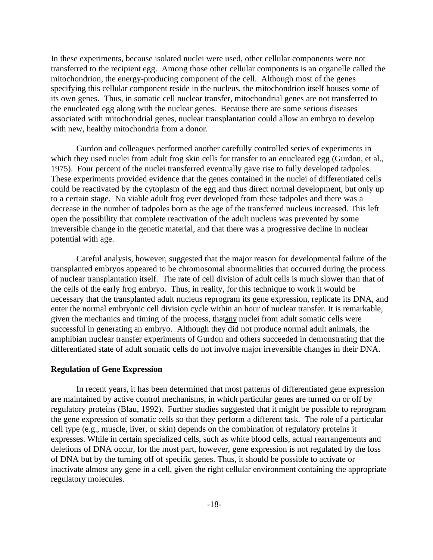In these experiments, because isolated nuclei were used, other cellular components were not transferred to the recipient egg. Among those other cellular components is an organelle called the mitochondrion, the energy-producing component of the cell. Although most of the genes specifying this cellular component reside in the nucleus, the mitochondrion itself houses some of its own genes. Thus, in somatic cell nuclear transfer, mitochondrial genes are not transferred to the enucleated egg along with the nuclear genes. Because there are some serious diseases associated with mitochondrial genes, nuclear transplantation could allow an embryo to develop with new, healthy mitochondria from a donor.

Gurdon and colleagues performed another carefully controlled series of experiments in which they used nuclei from adult frog skin cells for transfer to an enucleated egg (Gurdon, et al., 1975). Four percent of the nuclei transferred eventually gave rise to fully developed tadpoles. These experiments provided evidence that the genes contained in the nuclei of differentiated cells could be reactivated by the cytoplasm of the egg and thus direct normal development, but only up to a certain stage. No viable adult frog ever developed from these tadpoles and there was a decrease in the number of tadpoles born as the age of the transferred nucleus increased. This left open the possibility that complete reactivation of the adult nucleus was prevented by some irreversible change in the genetic material, and that there was a progressive decline in nuclear potential with age.

Careful analysis, however, suggested that the major reason for developmental failure of the transplanted embryos appeared to be chromosomal abnormalities that occurred during the process of nuclear transplantation itself. The rate of cell division of adult cells is much slower than that of the cells of the early frog embryo. Thus, in reality, for this technique to work it would be necessary that the transplanted adult nucleus reprogram its gene expression, replicate its DNA, and enter the normal embryonic cell division cycle within an hour of nuclear transfer. It is remarkable, given the mechanics and timing of the process, that any nuclei from adult somatic cells were successful in generating an embryo. Although they did not produce normal adult animals, the amphibian nuclear transfer experiments of Gurdon and others succeeded in demonstrating that the differentiated state of adult somatic cells do not involve major irreversible changes in their DNA.

#### **Regulation of Gene Expression**

In recent years, it has been determined that most patterns of differentiated gene expression are maintained by active control mechanisms, in which particular genes are turned on or off by regulatory proteins (Blau, 1992). Further studies suggested that it might be possible to reprogram the gene expression of somatic cells so that they perform a different task. The role of a particular cell type (e.g., muscle, liver, or skin) depends on the combination of regulatory proteins it expresses. While in certain specialized cells, such as white blood cells, actual rearrangements and deletions of DNA occur, for the most part, however, gene expression is not regulated by the loss of DNA but by the turning off of specific genes. Thus, it should be possible to activate or inactivate almost any gene in a cell, given the right cellular environment containing the appropriate regulatory molecules.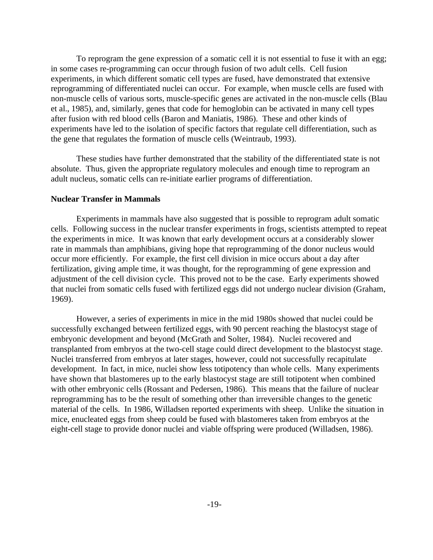To reprogram the gene expression of a somatic cell it is not essential to fuse it with an egg; in some cases re-programming can occur through fusion of two adult cells. Cell fusion experiments, in which different somatic cell types are fused, have demonstrated that extensive reprogramming of differentiated nuclei can occur. For example, when muscle cells are fused with non-muscle cells of various sorts, muscle-specific genes are activated in the non-muscle cells (Blau et al., 1985), and, similarly, genes that code for hemoglobin can be activated in many cell types after fusion with red blood cells (Baron and Maniatis, 1986). These and other kinds of experiments have led to the isolation of specific factors that regulate cell differentiation, such as the gene that regulates the formation of muscle cells (Weintraub, 1993).

These studies have further demonstrated that the stability of the differentiated state is not absolute. Thus, given the appropriate regulatory molecules and enough time to reprogram an adult nucleus, somatic cells can re-initiate earlier programs of differentiation.

#### **Nuclear Transfer in Mammals**

Experiments in mammals have also suggested that is possible to reprogram adult somatic cells. Following success in the nuclear transfer experiments in frogs, scientists attempted to repeat the experiments in mice. It was known that early development occurs at a considerably slower rate in mammals than amphibians, giving hope that reprogramming of the donor nucleus would occur more efficiently. For example, the first cell division in mice occurs about a day after fertilization, giving ample time, it was thought, for the reprogramming of gene expression and adjustment of the cell division cycle. This proved not to be the case. Early experiments showed that nuclei from somatic cells fused with fertilized eggs did not undergo nuclear division (Graham, 1969).

However, a series of experiments in mice in the mid 1980s showed that nuclei could be successfully exchanged between fertilized eggs, with 90 percent reaching the blastocyst stage of embryonic development and beyond (McGrath and Solter, 1984). Nuclei recovered and transplanted from embryos at the two-cell stage could direct development to the blastocyst stage. Nuclei transferred from embryos at later stages, however, could not successfully recapitulate development. In fact, in mice, nuclei show less totipotency than whole cells. Many experiments have shown that blastomeres up to the early blastocyst stage are still totipotent when combined with other embryonic cells (Rossant and Pedersen, 1986). This means that the failure of nuclear reprogramming has to be the result of something other than irreversible changes to the genetic material of the cells. In 1986, Willadsen reported experiments with sheep. Unlike the situation in mice, enucleated eggs from sheep could be fused with blastomeres taken from embryos at the eight-cell stage to provide donor nuclei and viable offspring were produced (Willadsen, 1986).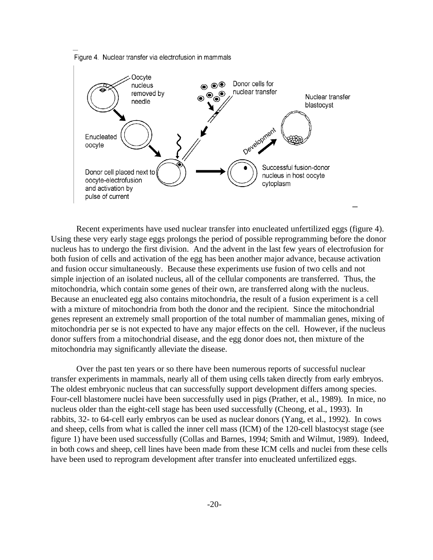

Figure 4. Nuclear transfer via electrofusion in mammals

Recent experiments have used nuclear transfer into enucleated unfertilized eggs (figure 4). Using these very early stage eggs prolongs the period of possible reprogramming before the donor nucleus has to undergo the first division. And the advent in the last few years of electrofusion for both fusion of cells and activation of the egg has been another major advance, because activation and fusion occur simultaneously. Because these experiments use fusion of two cells and not simple injection of an isolated nucleus, all of the cellular components are transferred. Thus, the mitochondria, which contain some genes of their own, are transferred along with the nucleus. Because an enucleated egg also contains mitochondria, the result of a fusion experiment is a cell with a mixture of mitochondria from both the donor and the recipient. Since the mitochondrial genes represent an extremely small proportion of the total number of mammalian genes, mixing of mitochondria per se is not expected to have any major effects on the cell. However, if the nucleus donor suffers from a mitochondrial disease, and the egg donor does not, then mixture of the mitochondria may significantly alleviate the disease.

Over the past ten years or so there have been numerous reports of successful nuclear transfer experiments in mammals, nearly all of them using cells taken directly from early embryos. The oldest embryonic nucleus that can successfully support development differs among species. Four-cell blastomere nuclei have been successfully used in pigs (Prather, et al., 1989). In mice, no nucleus older than the eight-cell stage has been used successfully (Cheong, et al., 1993). In rabbits, 32- to 64-cell early embryos can be used as nuclear donors (Yang, et al., 1992). In cows and sheep, cells from what is called the inner cell mass (ICM) of the 120-cell blastocyst stage (see figure 1) have been used successfully (Collas and Barnes, 1994; Smith and Wilmut, 1989). Indeed, in both cows and sheep, cell lines have been made from these ICM cells and nuclei from these cells have been used to reprogram development after transfer into enucleated unfertilized eggs.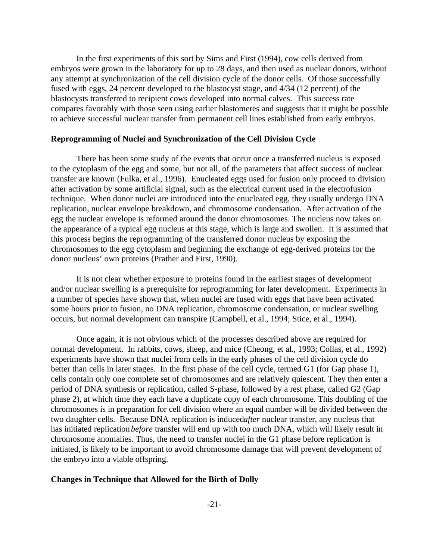In the first experiments of this sort by Sims and First (1994), cow cells derived from embryos were grown in the laboratory for up to 28 days, and then used as nuclear donors, without any attempt at synchronization of the cell division cycle of the donor cells. Of those successfully fused with eggs, 24 percent developed to the blastocyst stage, and 4/34 (12 percent) of the blastocysts transferred to recipient cows developed into normal calves. This success rate compares favorably with those seen using earlier blastomeres and suggests that it might be possible to achieve successful nuclear transfer from permanent cell lines established from early embryos.

#### **Reprogramming of Nuclei and Synchronization of the Cell Division Cycle**

There has been some study of the events that occur once a transferred nucleus is exposed to the cytoplasm of the egg and some, but not all, of the parameters that affect success of nuclear transfer are known (Fulka, et al., 1996). Enucleated eggs used for fusion only proceed to division after activation by some artificial signal, such as the electrical current used in the electrofusion technique. When donor nuclei are introduced into the enucleated egg, they usually undergo DNA replication, nuclear envelope breakdown, and chromosome condensation. After activation of the egg the nuclear envelope is reformed around the donor chromosomes. The nucleus now takes on the appearance of a typical egg nucleus at this stage, which is large and swollen. It is assumed that this process begins the reprogramming of the transferred donor nucleus by exposing the chromosomes to the egg cytoplasm and beginning the exchange of egg-derived proteins for the donor nucleus' own proteins (Prather and First, 1990).

It is not clear whether exposure to proteins found in the earliest stages of development and/or nuclear swelling is a prerequisite for reprogramming for later development. Experiments in a number of species have shown that, when nuclei are fused with eggs that have been activated some hours prior to fusion, no DNA replication, chromosome condensation, or nuclear swelling occurs, but normal development can transpire (Campbell, et al., 1994; Stice, et al., 1994).

Once again, it is not obvious which of the processes described above are required for normal development. In rabbits, cows, sheep, and mice (Cheong, et al., 1993; Collas, et al., 1992) experiments have shown that nuclei from cells in the early phases of the cell division cycle do better than cells in later stages. In the first phase of the cell cycle, termed G1 (for Gap phase 1), cells contain only one complete set of chromosomes and are relatively quiescent. They then enter a period of DNA synthesis or replication, called S-phase, followed by a rest phase, called G2 (Gap phase 2), at which time they each have a duplicate copy of each chromosome. This doubling of the chromosomes is in preparation for cell division where an equal number will be divided between the two daughter cells. Because DNA replication is inducedafter nuclear transfer, any nucleus that has initiated replication *before* transfer will end up with too much DNA, which will likely result in chromosome anomalies. Thus, the need to transfer nuclei in the G1 phase before replication is initiated, is likely to be important to avoid chromosome damage that will prevent development of the embryo into a viable offspring.

#### **Changes in Technique that Allowed for the Birth of Dolly**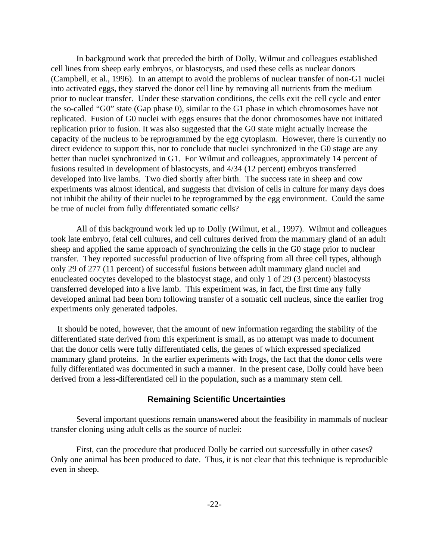In background work that preceded the birth of Dolly, Wilmut and colleagues established cell lines from sheep early embryos, or blastocysts, and used these cells as nuclear donors (Campbell, et al., 1996). In an attempt to avoid the problems of nuclear transfer of non-G1 nuclei into activated eggs, they starved the donor cell line by removing all nutrients from the medium prior to nuclear transfer. Under these starvation conditions, the cells exit the cell cycle and enter the so-called "G0" state (Gap phase 0), similar to the G1 phase in which chromosomes have not replicated. Fusion of G0 nuclei with eggs ensures that the donor chromosomes have not initiated replication prior to fusion. It was also suggested that the G0 state might actually increase the capacity of the nucleus to be reprogrammed by the egg cytoplasm. However, there is currently no direct evidence to support this, nor to conclude that nuclei synchronized in the G0 stage are any better than nuclei synchronized in G1. For Wilmut and colleagues, approximately 14 percent of fusions resulted in development of blastocysts, and 4/34 (12 percent) embryos transferred developed into live lambs. Two died shortly after birth. The success rate in sheep and cow experiments was almost identical, and suggests that division of cells in culture for many days does not inhibit the ability of their nuclei to be reprogrammed by the egg environment. Could the same be true of nuclei from fully differentiated somatic cells?

All of this background work led up to Dolly (Wilmut, et al., 1997). Wilmut and colleagues took late embryo, fetal cell cultures, and cell cultures derived from the mammary gland of an adult sheep and applied the same approach of synchronizing the cells in the G0 stage prior to nuclear transfer. They reported successful production of live offspring from all three cell types, although only 29 of 277 (11 percent) of successful fusions between adult mammary gland nuclei and enucleated oocytes developed to the blastocyst stage, and only 1 of 29 (3 percent) blastocysts transferred developed into a live lamb. This experiment was, in fact, the first time any fully developed animal had been born following transfer of a somatic cell nucleus, since the earlier frog experiments only generated tadpoles.

It should be noted, however, that the amount of new information regarding the stability of the differentiated state derived from this experiment is small, as no attempt was made to document that the donor cells were fully differentiated cells, the genes of which expressed specialized mammary gland proteins. In the earlier experiments with frogs, the fact that the donor cells were fully differentiated was documented in such a manner. In the present case, Dolly could have been derived from a less-differentiated cell in the population, such as a mammary stem cell.

### **Remaining Scientific Uncertainties**

Several important questions remain unanswered about the feasibility in mammals of nuclear transfer cloning using adult cells as the source of nuclei:

First, can the procedure that produced Dolly be carried out successfully in other cases? Only one animal has been produced to date. Thus, it is not clear that this technique is reproducible even in sheep.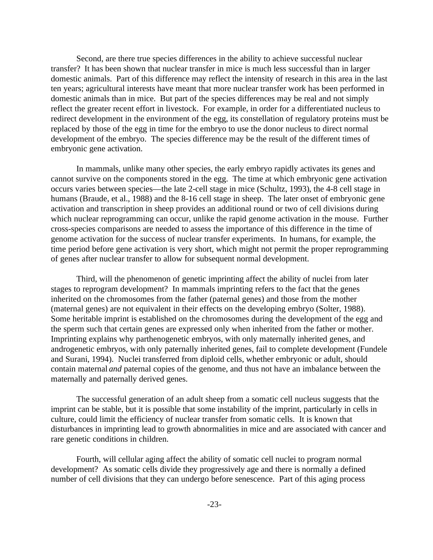Second, are there true species differences in the ability to achieve successful nuclear transfer? It has been shown that nuclear transfer in mice is much less successful than in larger domestic animals. Part of this difference may reflect the intensity of research in this area in the last ten years; agricultural interests have meant that more nuclear transfer work has been performed in domestic animals than in mice. But part of the species differences may be real and not simply reflect the greater recent effort in livestock. For example, in order for a differentiated nucleus to redirect development in the environment of the egg, its constellation of regulatory proteins must be replaced by those of the egg in time for the embryo to use the donor nucleus to direct normal development of the embryo. The species difference may be the result of the different times of embryonic gene activation.

In mammals, unlike many other species, the early embryo rapidly activates its genes and cannot survive on the components stored in the egg. The time at which embryonic gene activation occurs varies between species—the late 2-cell stage in mice (Schultz, 1993), the 4-8 cell stage in humans (Braude, et al., 1988) and the 8-16 cell stage in sheep. The later onset of embryonic gene activation and transcription in sheep provides an additional round or two of cell divisions during which nuclear reprogramming can occur, unlike the rapid genome activation in the mouse. Further cross-species comparisons are needed to assess the importance of this difference in the time of genome activation for the success of nuclear transfer experiments. In humans, for example, the time period before gene activation is very short, which might not permit the proper reprogramming of genes after nuclear transfer to allow for subsequent normal development.

Third, will the phenomenon of genetic imprinting affect the ability of nuclei from later stages to reprogram development? In mammals imprinting refers to the fact that the genes inherited on the chromosomes from the father (paternal genes) and those from the mother (maternal genes) are not equivalent in their effects on the developing embryo (Solter, 1988). Some heritable imprint is established on the chromosomes during the development of the egg and the sperm such that certain genes are expressed only when inherited from the father or mother. Imprinting explains why parthenogenetic embryos, with only maternally inherited genes, and androgenetic embryos, with only paternally inherited genes, fail to complete development (Fundele and Surani, 1994). Nuclei transferred from diploid cells, whether embryonic or adult, should contain maternal *and* paternal copies of the genome, and thus not have an imbalance between the maternally and paternally derived genes.

The successful generation of an adult sheep from a somatic cell nucleus suggests that the imprint can be stable, but it is possible that some instability of the imprint, particularly in cells in culture, could limit the efficiency of nuclear transfer from somatic cells. It is known that disturbances in imprinting lead to growth abnormalities in mice and are associated with cancer and rare genetic conditions in children.

Fourth, will cellular aging affect the ability of somatic cell nuclei to program normal development? As somatic cells divide they progressively age and there is normally a defined number of cell divisions that they can undergo before senescence. Part of this aging process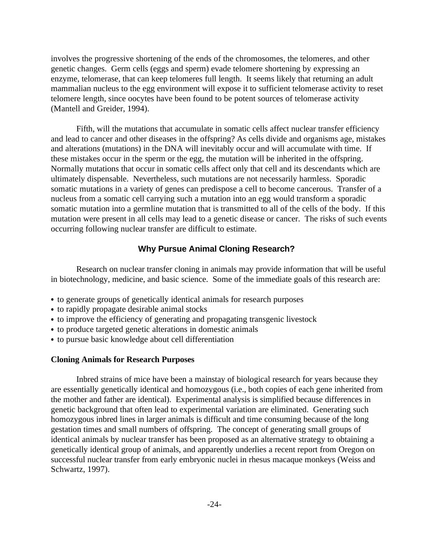involves the progressive shortening of the ends of the chromosomes, the telomeres, and other genetic changes. Germ cells (eggs and sperm) evade telomere shortening by expressing an enzyme, telomerase, that can keep telomeres full length. It seems likely that returning an adult mammalian nucleus to the egg environment will expose it to sufficient telomerase activity to reset telomere length, since oocytes have been found to be potent sources of telomerase activity (Mantell and Greider, 1994).

Fifth, will the mutations that accumulate in somatic cells affect nuclear transfer efficiency and lead to cancer and other diseases in the offspring? As cells divide and organisms age, mistakes and alterations (mutations) in the DNA will inevitably occur and will accumulate with time. If these mistakes occur in the sperm or the egg, the mutation will be inherited in the offspring. Normally mutations that occur in somatic cells affect only that cell and its descendants which are ultimately dispensable. Nevertheless, such mutations are not necessarily harmless. Sporadic somatic mutations in a variety of genes can predispose a cell to become cancerous. Transfer of a nucleus from a somatic cell carrying such a mutation into an egg would transform a sporadic somatic mutation into a germline mutation that is transmitted to all of the cells of the body. If this mutation were present in all cells may lead to a genetic disease or cancer. The risks of such events occurring following nuclear transfer are difficult to estimate.

### **Why Pursue Animal Cloning Research?**

Research on nuclear transfer cloning in animals may provide information that will be useful in biotechnology, medicine, and basic science. Some of the immediate goals of this research are:

- to generate groups of genetically identical animals for research purposes
- to rapidly propagate desirable animal stocks
- to improve the efficiency of generating and propagating transgenic livestock
- to produce targeted genetic alterations in domestic animals
- to pursue basic knowledge about cell differentiation

#### **Cloning Animals for Research Purposes**

Inbred strains of mice have been a mainstay of biological research for years because they are essentially genetically identical and homozygous (i.e., both copies of each gene inherited from the mother and father are identical). Experimental analysis is simplified because differences in genetic background that often lead to experimental variation are eliminated. Generating such homozygous inbred lines in larger animals is difficult and time consuming because of the long gestation times and small numbers of offspring. The concept of generating small groups of identical animals by nuclear transfer has been proposed as an alternative strategy to obtaining a genetically identical group of animals, and apparently underlies a recent report from Oregon on successful nuclear transfer from early embryonic nuclei in rhesus macaque monkeys (Weiss and Schwartz, 1997).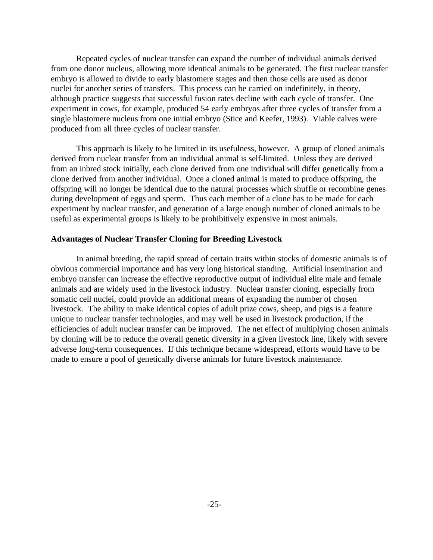Repeated cycles of nuclear transfer can expand the number of individual animals derived from one donor nucleus, allowing more identical animals to be generated. The first nuclear transfer embryo is allowed to divide to early blastomere stages and then those cells are used as donor nuclei for another series of transfers. This process can be carried on indefinitely, in theory, although practice suggests that successful fusion rates decline with each cycle of transfer. One experiment in cows, for example, produced 54 early embryos after three cycles of transfer from a single blastomere nucleus from one initial embryo (Stice and Keefer, 1993). Viable calves were produced from all three cycles of nuclear transfer.

This approach is likely to be limited in its usefulness, however. A group of cloned animals derived from nuclear transfer from an individual animal is self-limited. Unless they are derived from an inbred stock initially, each clone derived from one individual will differ genetically from a clone derived from another individual. Once a cloned animal is mated to produce offspring, the offspring will no longer be identical due to the natural processes which shuffle or recombine genes during development of eggs and sperm. Thus each member of a clone has to be made for each experiment by nuclear transfer, and generation of a large enough number of cloned animals to be useful as experimental groups is likely to be prohibitively expensive in most animals.

#### **Advantages of Nuclear Transfer Cloning for Breeding Livestock**

In animal breeding, the rapid spread of certain traits within stocks of domestic animals is of obvious commercial importance and has very long historical standing. Artificial insemination and embryo transfer can increase the effective reproductive output of individual elite male and female animals and are widely used in the livestock industry. Nuclear transfer cloning, especially from somatic cell nuclei, could provide an additional means of expanding the number of chosen livestock. The ability to make identical copies of adult prize cows, sheep, and pigs is a feature unique to nuclear transfer technologies, and may well be used in livestock production, if the efficiencies of adult nuclear transfer can be improved. The net effect of multiplying chosen animals by cloning will be to reduce the overall genetic diversity in a given livestock line, likely with severe adverse long-term consequences. If this technique became widespread, efforts would have to be made to ensure a pool of genetically diverse animals for future livestock maintenance.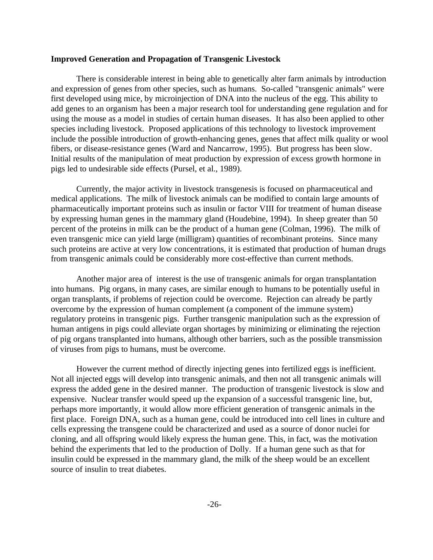#### **Improved Generation and Propagation of Transgenic Livestock**

There is considerable interest in being able to genetically alter farm animals by introduction and expression of genes from other species, such as humans. So-called "transgenic animals" were first developed using mice, by microinjection of DNA into the nucleus of the egg. This ability to add genes to an organism has been a major research tool for understanding gene regulation and for using the mouse as a model in studies of certain human diseases. It has also been applied to other species including livestock. Proposed applications of this technology to livestock improvement include the possible introduction of growth-enhancing genes, genes that affect milk quality or wool fibers, or disease-resistance genes (Ward and Nancarrow, 1995). But progress has been slow. Initial results of the manipulation of meat production by expression of excess growth hormone in pigs led to undesirable side effects (Pursel, et al., 1989).

Currently, the major activity in livestock transgenesis is focused on pharmaceutical and medical applications. The milk of livestock animals can be modified to contain large amounts of pharmaceutically important proteins such as insulin or factor VIII for treatment of human disease by expressing human genes in the mammary gland (Houdebine, 1994). In sheep greater than 50 percent of the proteins in milk can be the product of a human gene (Colman, 1996). The milk of even transgenic mice can yield large (milligram) quantities of recombinant proteins. Since many such proteins are active at very low concentrations, it is estimated that production of human drugs from transgenic animals could be considerably more cost-effective than current methods.

Another major area of interest is the use of transgenic animals for organ transplantation into humans. Pig organs, in many cases, are similar enough to humans to be potentially useful in organ transplants, if problems of rejection could be overcome. Rejection can already be partly overcome by the expression of human complement (a component of the immune system) regulatory proteins in transgenic pigs. Further transgenic manipulation such as the expression of human antigens in pigs could alleviate organ shortages by minimizing or eliminating the rejection of pig organs transplanted into humans, although other barriers, such as the possible transmission of viruses from pigs to humans, must be overcome.

However the current method of directly injecting genes into fertilized eggs is inefficient. Not all injected eggs will develop into transgenic animals, and then not all transgenic animals will express the added gene in the desired manner. The production of transgenic livestock is slow and expensive. Nuclear transfer would speed up the expansion of a successful transgenic line, but, perhaps more importantly, it would allow more efficient generation of transgenic animals in the first place. Foreign DNA, such as a human gene, could be introduced into cell lines in culture and cells expressing the transgene could be characterized and used as a source of donor nuclei for cloning, and all offspring would likely express the human gene. This, in fact, was the motivation behind the experiments that led to the production of Dolly. If a human gene such as that for insulin could be expressed in the mammary gland, the milk of the sheep would be an excellent source of insulin to treat diabetes.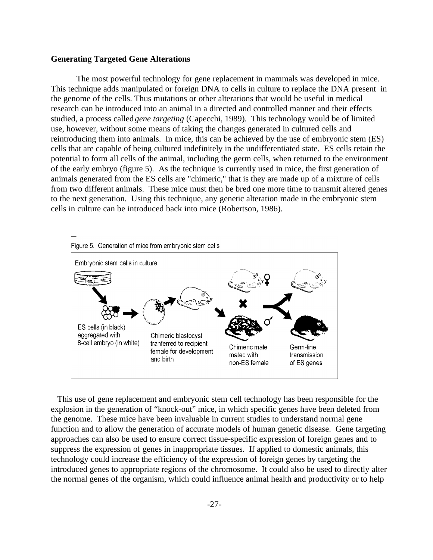#### **Generating Targeted Gene Alterations**

The most powerful technology for gene replacement in mammals was developed in mice. This technique adds manipulated or foreign DNA to cells in culture to replace the DNA present in the genome of the cells. Thus mutations or other alterations that would be useful in medical research can be introduced into an animal in a directed and controlled manner and their effects studied, a process called *gene targeting* (Capecchi, 1989). This technology would be of limited use, however, without some means of taking the changes generated in cultured cells and reintroducing them into animals. In mice, this can be achieved by the use of embryonic stem (ES) cells that are capable of being cultured indefinitely in the undifferentiated state. ES cells retain the potential to form all cells of the animal, including the germ cells, when returned to the environment of the early embryo (figure 5). As the technique is currently used in mice, the first generation of animals generated from the ES cells are "chimeric," that is they are made up of a mixture of cells from two different animals. These mice must then be bred one more time to transmit altered genes to the next generation. Using this technique, any genetic alteration made in the embryonic stem cells in culture can be introduced back into mice (Robertson, 1986).



This use of gene replacement and embryonic stem cell technology has been responsible for the explosion in the generation of "knock-out" mice, in which specific genes have been deleted from the genome. These mice have been invaluable in current studies to understand normal gene function and to allow the generation of accurate models of human genetic disease. Gene targeting approaches can also be used to ensure correct tissue-specific expression of foreign genes and to suppress the expression of genes in inappropriate tissues. If applied to domestic animals, this technology could increase the efficiency of the expression of foreign genes by targeting the introduced genes to appropriate regions of the chromosome. It could also be used to directly alter the normal genes of the organism, which could influence animal health and productivity or to help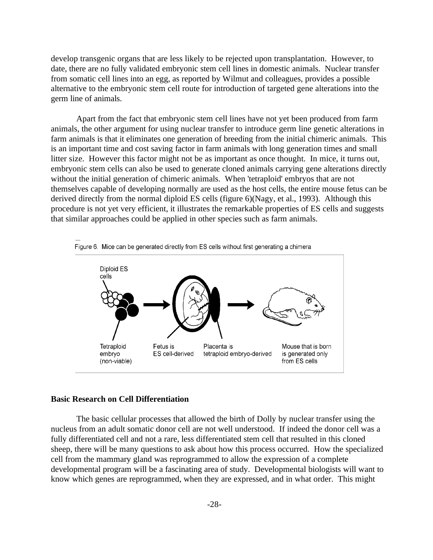develop transgenic organs that are less likely to be rejected upon transplantation. However, to date, there are no fully validated embryonic stem cell lines in domestic animals. Nuclear transfer from somatic cell lines into an egg, as reported by Wilmut and colleagues, provides a possible alternative to the embryonic stem cell route for introduction of targeted gene alterations into the germ line of animals.

Apart from the fact that embryonic stem cell lines have not yet been produced from farm animals, the other argument for using nuclear transfer to introduce germ line genetic alterations in farm animals is that it eliminates one generation of breeding from the initial chimeric animals. This is an important time and cost saving factor in farm animals with long generation times and small litter size. However this factor might not be as important as once thought. In mice, it turns out, embryonic stem cells can also be used to generate cloned animals carrying gene alterations directly without the initial generation of chimeric animals. When 'tetraploid' embryos that are not themselves capable of developing normally are used as the host cells, the entire mouse fetus can be derived directly from the normal diploid ES cells (figure 6)(Nagy, et al., 1993). Although this procedure is not yet very efficient, it illustrates the remarkable properties of ES cells and suggests that similar approaches could be applied in other species such as farm animals.





#### **Basic Research on Cell Differentiation**

The basic cellular processes that allowed the birth of Dolly by nuclear transfer using the nucleus from an adult somatic donor cell are not well understood. If indeed the donor cell was a fully differentiated cell and not a rare, less differentiated stem cell that resulted in this cloned sheep, there will be many questions to ask about how this process occurred. How the specialized cell from the mammary gland was reprogrammed to allow the expression of a complete developmental program will be a fascinating area of study. Developmental biologists will want to know which genes are reprogrammed, when they are expressed, and in what order. This might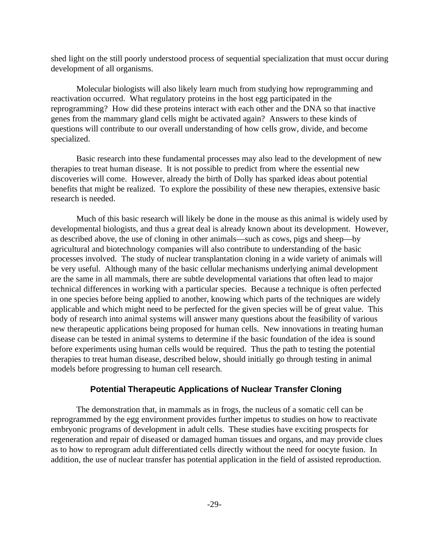shed light on the still poorly understood process of sequential specialization that must occur during development of all organisms.

Molecular biologists will also likely learn much from studying how reprogramming and reactivation occurred. What regulatory proteins in the host egg participated in the reprogramming? How did these proteins interact with each other and the DNA so that inactive genes from the mammary gland cells might be activated again? Answers to these kinds of questions will contribute to our overall understanding of how cells grow, divide, and become specialized.

Basic research into these fundamental processes may also lead to the development of new therapies to treat human disease. It is not possible to predict from where the essential new discoveries will come. However, already the birth of Dolly has sparked ideas about potential benefits that might be realized. To explore the possibility of these new therapies, extensive basic research is needed.

Much of this basic research will likely be done in the mouse as this animal is widely used by developmental biologists, and thus a great deal is already known about its development. However, as described above, the use of cloning in other animals—such as cows, pigs and sheep—by agricultural and biotechnology companies will also contribute to understanding of the basic processes involved. The study of nuclear transplantation cloning in a wide variety of animals will be very useful. Although many of the basic cellular mechanisms underlying animal development are the same in all mammals, there are subtle developmental variations that often lead to major technical differences in working with a particular species. Because a technique is often perfected in one species before being applied to another, knowing which parts of the techniques are widely applicable and which might need to be perfected for the given species will be of great value. This body of research into animal systems will answer many questions about the feasibility of various new therapeutic applications being proposed for human cells. New innovations in treating human disease can be tested in animal systems to determine if the basic foundation of the idea is sound before experiments using human cells would be required. Thus the path to testing the potential therapies to treat human disease, described below, should initially go through testing in animal models before progressing to human cell research.

#### **Potential Therapeutic Applications of Nuclear Transfer Cloning**

The demonstration that, in mammals as in frogs, the nucleus of a somatic cell can be reprogrammed by the egg environment provides further impetus to studies on how to reactivate embryonic programs of development in adult cells. These studies have exciting prospects for regeneration and repair of diseased or damaged human tissues and organs, and may provide clues as to how to reprogram adult differentiated cells directly without the need for oocyte fusion. In addition, the use of nuclear transfer has potential application in the field of assisted reproduction.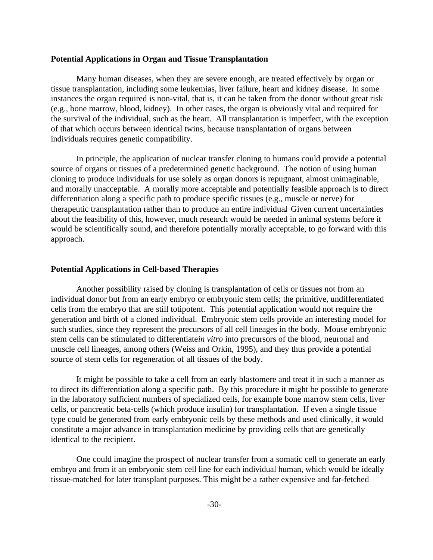#### **Potential Applications in Organ and Tissue Transplantation**

Many human diseases, when they are severe enough, are treated effectively by organ or tissue transplantation, including some leukemias, liver failure, heart and kidney disease. In some instances the organ required is non-vital, that is, it can be taken from the donor without great risk (e.g., bone marrow, blood, kidney). In other cases, the organ is obviously vital and required for the survival of the individual, such as the heart. All transplantation is imperfect, with the exception of that which occurs between identical twins, because transplantation of organs between individuals requires genetic compatibility.

In principle, the application of nuclear transfer cloning to humans could provide a potential source of organs or tissues of a predetermined genetic background. The notion of using human cloning to produce individuals for use solely as organ donors is repugnant, almost unimaginable, and morally unacceptable. A morally more acceptable and potentially feasible approach is to direct differentiation along a specific path to produce specific tissues (e.g., muscle or nerve) for therapeutic transplantation rather than to produce an entire individual**.** Given current uncertainties about the feasibility of this, however, much research would be needed in animal systems before it would be scientifically sound, and therefore potentially morally acceptable, to go forward with this approach.

#### **Potential Applications in Cell-based Therapies**

Another possibility raised by cloning is transplantation of cells or tissues not from an individual donor but from an early embryo or embryonic stem cells; the primitive, undifferentiated cells from the embryo that are still totipotent. This potential application would not require the generation and birth of a cloned individual. Embryonic stem cells provide an interesting model for such studies, since they represent the precursors of all cell lineages in the body. Mouse embryonic stem cells can be stimulated to differentiate*in vitro* into precursors of the blood, neuronal and muscle cell lineages, among others (Weiss and Orkin, 1995), and they thus provide a potential source of stem cells for regeneration of all tissues of the body.

It might be possible to take a cell from an early blastomere and treat it in such a manner as to direct its differentiation along a specific path. By this procedure it might be possible to generate in the laboratory sufficient numbers of specialized cells, for example bone marrow stem cells, liver cells, or pancreatic beta-cells (which produce insulin) for transplantation. If even a single tissue type could be generated from early embryonic cells by these methods and used clinically, it would constitute a major advance in transplantation medicine by providing cells that are genetically identical to the recipient.

One could imagine the prospect of nuclear transfer from a somatic cell to generate an early embryo and from it an embryonic stem cell line for each individual human, which would be ideally tissue-matched for later transplant purposes. This might be a rather expensive and far-fetched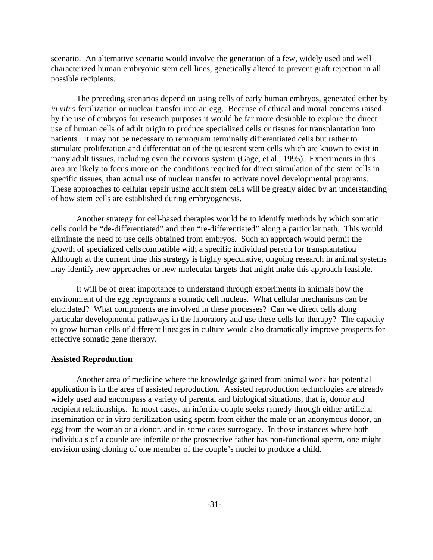scenario. An alternative scenario would involve the generation of a few, widely used and well characterized human embryonic stem cell lines, genetically altered to prevent graft rejection in all possible recipients.

The preceding scenarios depend on using cells of early human embryos, generated either by *in vitro* fertilization or nuclear transfer into an egg. Because of ethical and moral concerns raised by the use of embryos for research purposes it would be far more desirable to explore the direct use of human cells of adult origin to produce specialized cells or tissues for transplantation into patients. It may not be necessary to reprogram terminally differentiated cells but rather to stimulate proliferation and differentiation of the quiescent stem cells which are known to exist in many adult tissues, including even the nervous system (Gage, et al., 1995). Experiments in this area are likely to focus more on the conditions required for direct stimulation of the stem cells in specific tissues, than actual use of nuclear transfer to activate novel developmental programs. These approaches to cellular repair using adult stem cells will be greatly aided by an understanding of how stem cells are established during embryogenesis.

Another strategy for cell-based therapies would be to identify methods by which somatic cells could be "de-differentiated" and then "re-differentiated" along a particular path. This would eliminate the need to use cells obtained from embryos. Such an approach would permit the growth of specialized cellscompatible with a specific individual person for transplantation**.** Although at the current time this strategy is highly speculative, ongoing research in animal systems may identify new approaches or new molecular targets that might make this approach feasible.

It will be of great importance to understand through experiments in animals how the environment of the egg reprograms a somatic cell nucleus. What cellular mechanisms can be elucidated? What components are involved in these processes? Can we direct cells along particular developmental pathways in the laboratory and use these cells for therapy? The capacity to grow human cells of different lineages in culture would also dramatically improve prospects for effective somatic gene therapy.

#### **Assisted Reproduction**

Another area of medicine where the knowledge gained from animal work has potential application is in the area of assisted reproduction. Assisted reproduction technologies are already widely used and encompass a variety of parental and biological situations, that is, donor and recipient relationships. In most cases, an infertile couple seeks remedy through either artificial insemination or in vitro fertilization using sperm from either the male or an anonymous donor, an egg from the woman or a donor, and in some cases surrogacy. In those instances where both individuals of a couple are infertile or the prospective father has non-functional sperm, one might envision using cloning of one member of the couple's nuclei to produce a child.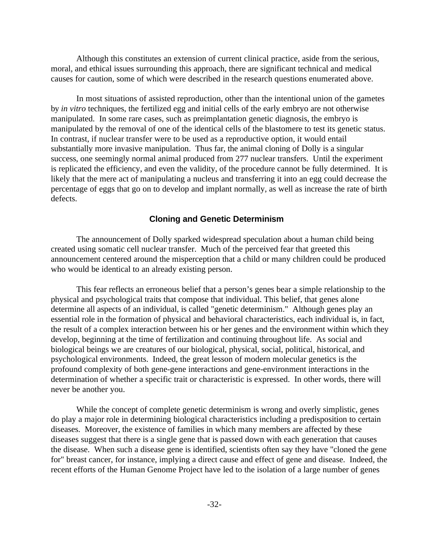Although this constitutes an extension of current clinical practice, aside from the serious, moral, and ethical issues surrounding this approach, there are significant technical and medical causes for caution, some of which were described in the research questions enumerated above.

In most situations of assisted reproduction, other than the intentional union of the gametes by *in vitro* techniques, the fertilized egg and initial cells of the early embryo are not otherwise manipulated. In some rare cases, such as preimplantation genetic diagnosis, the embryo is manipulated by the removal of one of the identical cells of the blastomere to test its genetic status. In contrast, if nuclear transfer were to be used as a reproductive option, it would entail substantially more invasive manipulation. Thus far, the animal cloning of Dolly is a singular success, one seemingly normal animal produced from 277 nuclear transfers. Until the experiment is replicated the efficiency, and even the validity, of the procedure cannot be fully determined. It is likely that the mere act of manipulating a nucleus and transferring it into an egg could decrease the percentage of eggs that go on to develop and implant normally, as well as increase the rate of birth defects.

### **Cloning and Genetic Determinism**

The announcement of Dolly sparked widespread speculation about a human child being created using somatic cell nuclear transfer. Much of the perceived fear that greeted this announcement centered around the misperception that a child or many children could be produced who would be identical to an already existing person.

This fear reflects an erroneous belief that a person's genes bear a simple relationship to the physical and psychological traits that compose that individual. This belief, that genes alone determine all aspects of an individual, is called "genetic determinism." Although genes play an essential role in the formation of physical and behavioral characteristics, each individual is, in fact, the result of a complex interaction between his or her genes and the environment within which they develop, beginning at the time of fertilization and continuing throughout life. As social and biological beings we are creatures of our biological, physical, social, political, historical, and psychological environments. Indeed, the great lesson of modern molecular genetics is the profound complexity of both gene-gene interactions and gene-environment interactions in the determination of whether a specific trait or characteristic is expressed. In other words, there will never be another you.

While the concept of complete genetic determinism is wrong and overly simplistic, genes do play a major role in determining biological characteristics including a predisposition to certain diseases. Moreover, the existence of families in which many members are affected by these diseases suggest that there is a single gene that is passed down with each generation that causes the disease. When such a disease gene is identified, scientists often say they have "cloned the gene for" breast cancer, for instance, implying a direct cause and effect of gene and disease. Indeed, the recent efforts of the Human Genome Project have led to the isolation of a large number of genes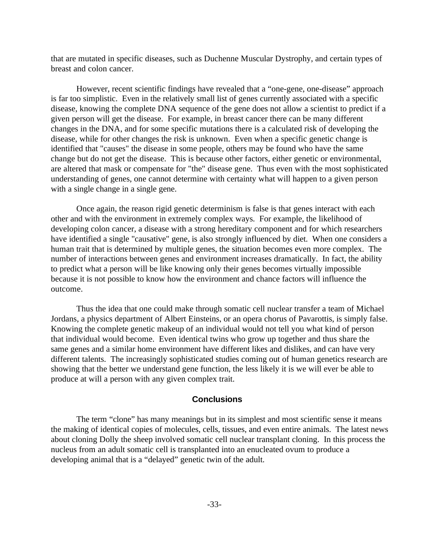that are mutated in specific diseases, such as Duchenne Muscular Dystrophy, and certain types of breast and colon cancer.

However, recent scientific findings have revealed that a "one-gene, one-disease" approach is far too simplistic. Even in the relatively small list of genes currently associated with a specific disease, knowing the complete DNA sequence of the gene does not allow a scientist to predict if a given person will get the disease. For example, in breast cancer there can be many different changes in the DNA, and for some specific mutations there is a calculated risk of developing the disease, while for other changes the risk is unknown. Even when a specific genetic change is identified that "causes" the disease in some people, others may be found who have the same change but do not get the disease. This is because other factors, either genetic or environmental, are altered that mask or compensate for "the" disease gene. Thus even with the most sophisticated understanding of genes, one cannot determine with certainty what will happen to a given person with a single change in a single gene.

Once again, the reason rigid genetic determinism is false is that genes interact with each other and with the environment in extremely complex ways. For example, the likelihood of developing colon cancer, a disease with a strong hereditary component and for which researchers have identified a single "causative" gene, is also strongly influenced by diet. When one considers a human trait that is determined by multiple genes, the situation becomes even more complex. The number of interactions between genes and environment increases dramatically. In fact, the ability to predict what a person will be like knowing only their genes becomes virtually impossible because it is not possible to know how the environment and chance factors will influence the outcome.

Thus the idea that one could make through somatic cell nuclear transfer a team of Michael Jordans, a physics department of Albert Einsteins, or an opera chorus of Pavarottis, is simply false. Knowing the complete genetic makeup of an individual would not tell you what kind of person that individual would become. Even identical twins who grow up together and thus share the same genes and a similar home environment have different likes and dislikes, and can have very different talents. The increasingly sophisticated studies coming out of human genetics research are showing that the better we understand gene function, the less likely it is we will ever be able to produce at will a person with any given complex trait.

#### **Conclusions**

The term "clone" has many meanings but in its simplest and most scientific sense it means the making of identical copies of molecules, cells, tissues, and even entire animals. The latest news about cloning Dolly the sheep involved somatic cell nuclear transplant cloning. In this process the nucleus from an adult somatic cell is transplanted into an enucleated ovum to produce a developing animal that is a "delayed" genetic twin of the adult.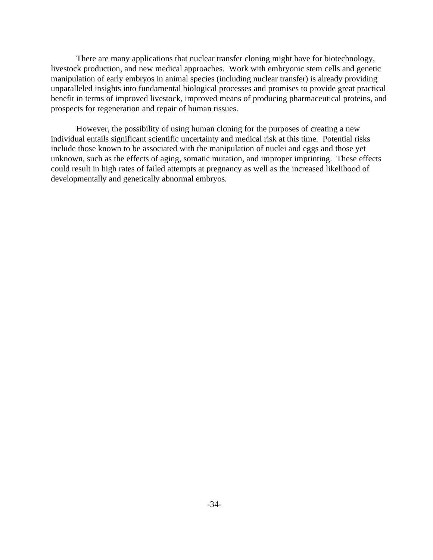There are many applications that nuclear transfer cloning might have for biotechnology, livestock production, and new medical approaches. Work with embryonic stem cells and genetic manipulation of early embryos in animal species (including nuclear transfer) is already providing unparalleled insights into fundamental biological processes and promises to provide great practical benefit in terms of improved livestock, improved means of producing pharmaceutical proteins, and prospects for regeneration and repair of human tissues.

However, the possibility of using human cloning for the purposes of creating a new individual entails significant scientific uncertainty and medical risk at this time. Potential risks include those known to be associated with the manipulation of nuclei and eggs and those yet unknown, such as the effects of aging, somatic mutation, and improper imprinting. These effects could result in high rates of failed attempts at pregnancy as well as the increased likelihood of developmentally and genetically abnormal embryos.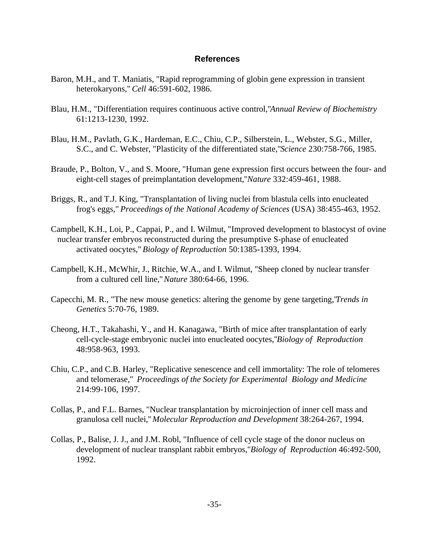#### **References**

- Baron, M.H., and T. Maniatis, "Rapid reprogramming of globin gene expression in transient heterokaryons," *Cell* 46:591-602, 1986.
- Blau, H.M., "Differentiation requires continuous active control," *Annual Review of Biochemistry* 61:1213-1230, 1992.
- Blau, H.M., Pavlath, G.K., Hardeman, E.C., Chiu, C.P., Silberstein, L., Webster, S.G., Miller, S.C., and C. Webster, "Plasticity of the differentiated state," *Science* 230:758-766, 1985.
- Braude, P., Bolton, V., and S. Moore, "Human gene expression first occurs between the four- and eight-cell stages of preimplantation development," *Nature* 332:459-461, 1988.
- Briggs, R., and T.J. King, "Transplantation of living nuclei from blastula cells into enucleated frog's eggs," *Proceedings of the National Academy of Sciences* (USA) 38:455-463, 1952.
- Campbell, K.H., Loi, P., Cappai, P., and I. Wilmut, "Improved development to blastocyst of ovine nuclear transfer embryos reconstructed during the presumptive S-phase of enucleated activated oocytes," *Biology of Reproduction* 50:1385-1393, 1994.
- Campbell, K.H., McWhir, J., Ritchie, W.A., and I. Wilmut, "Sheep cloned by nuclear transfer from a cultured cell line," *Nature* 380:64-66, 1996.
- Capecchi, M. R., "The new mouse genetics: altering the genome by gene targeting," *Trends in Genetics* 5:70-76, 1989.
- Cheong, H.T., Takahashi, Y., and H. Kanagawa, "Birth of mice after transplantation of early cell-cycle-stage embryonic nuclei into enucleated oocytes," *Biology of Reproduction* 48:958-963, 1993.
- Chiu, C.P., and C.B. Harley, "Replicative senescence and cell immortality: The role of telomeres and telomerase," *Proceedings of the Society for Experimental Biology and Medicine* 214:99-106, 1997.
- Collas, P., and F.L. Barnes, "Nuclear transplantation by microinjection of inner cell mass and granulosa cell nuclei," *Molecular Reproduction and Development* 38:264-267, 1994.
- Collas, P., Balise, J. J., and J.M. Robl, "Influence of cell cycle stage of the donor nucleus on development of nuclear transplant rabbit embryos," *Biology of Reproduction* 46:492-500, 1992.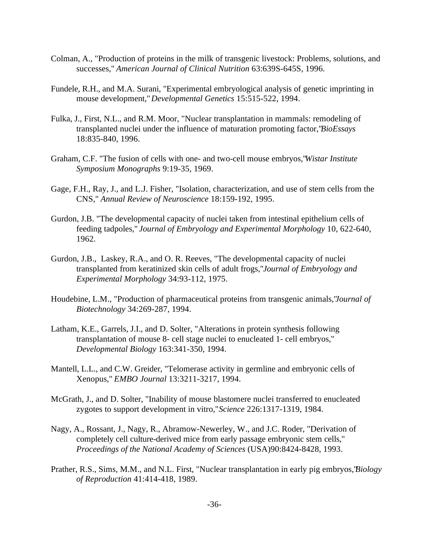- Colman, A., "Production of proteins in the milk of transgenic livestock: Problems, solutions, and successes," *American Journal of Clinical Nutrition* 63:639S-645S, 1996.
- Fundele, R.H., and M.A. Surani, "Experimental embryological analysis of genetic imprinting in mouse development," *Developmental Genetics* 15:515-522, 1994.
- Fulka, J., First, N.L., and R.M. Moor, "Nuclear transplantation in mammals: remodeling of transplanted nuclei under the influence of maturation promoting factor," *BioEssays*  18:835-840, 1996.
- Graham, C.F. "The fusion of cells with one- and two-cell mouse embryos," *Wistar Institute Symposium Monographs* 9:19-35, 1969.
- Gage, F.H., Ray, J., and L.J. Fisher, "Isolation, characterization, and use of stem cells from the CNS," *Annual Review of Neuroscience* 18:159-192, 1995.
- Gurdon, J.B. "The developmental capacity of nuclei taken from intestinal epithelium cells of feeding tadpoles," *Journal of Embryology and Experimental Morphology* 10, 622-640, 1962.
- Gurdon, J.B., Laskey, R.A., and O. R. Reeves, "The developmental capacity of nuclei transplanted from keratinized skin cells of adult frogs," *Journal of Embryology and Experimental Morphology* 34:93-112, 1975.
- Houdebine, L.M., "Production of pharmaceutical proteins from transgenic animals," *Journal of Biotechnology* 34:269-287, 1994.
- Latham, K.E., Garrels, J.I., and D. Solter, "Alterations in protein synthesis following transplantation of mouse 8- cell stage nuclei to enucleated 1- cell embryos," *Developmental Biology* 163:341-350, 1994.
- Mantell, L.L., and C.W. Greider, "Telomerase activity in germline and embryonic cells of Xenopus," *EMBO Journal* 13:3211-3217, 1994.
- McGrath, J., and D. Solter, "Inability of mouse blastomere nuclei transferred to enucleated zygotes to support development in vitro," *Science* 226:1317-1319, 1984.
- Nagy, A., Rossant, J., Nagy, R., Abramow-Newerley, W., and J.C. Roder, "Derivation of completely cell culture-derived mice from early passage embryonic stem cells," *Proceedings of the National Academy of Sciences* (USA)90:8424-8428, 1993.
- Prather, R.S., Sims, M.M., and N.L. First, "Nuclear transplantation in early pig embryos, *Biology of Reproduction* 41:414-418, 1989.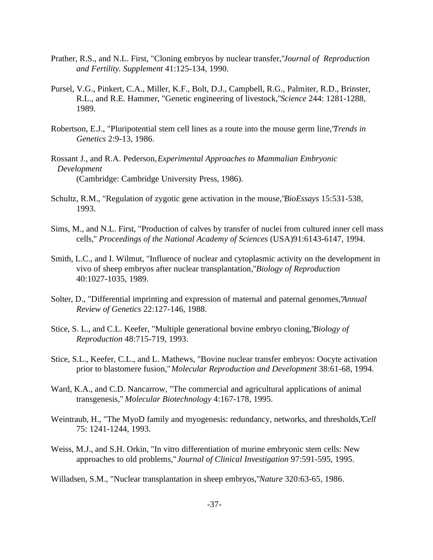- Prather, R.S., and N.L. First, "Cloning embryos by nuclear transfer," *Journal of Reproduction and Fertility. Supplement* 41:125-134, 1990.
- Pursel, V.G., Pinkert, C.A., Miller, K.F., Bolt, D.J., Campbell, R.G., Palmiter, R.D., Brinster, R.L., and R.E. Hammer, "Genetic engineering of livestock," *Science* 244: 1281-1288, 1989.
- Robertson, E.J., "Pluripotential stem cell lines as a route into the mouse germ line," *Trends in Genetics* 2:9-13, 1986.
- Rossant J., and R.A. Pederson, *Experimental Approaches to Mammalian Embryonic Development* (Cambridge: Cambridge University Press, 1986).
- Schultz, R.M., "Regulation of zygotic gene activation in the mouse," *BioEssays* 15:531-538, 1993.
- Sims, M., and N.L. First, "Production of calves by transfer of nuclei from cultured inner cell mass cells," *Proceedings of the National Academy of Sciences* (USA)91:6143-6147, 1994.
- Smith, L.C., and I. Wilmut, "Influence of nuclear and cytoplasmic activity on the development in vivo of sheep embryos after nuclear transplantation," *Biology of Reproduction* 40:1027-1035, 1989.
- Solter, D., "Differential imprinting and expression of maternal and paternal genomes," *Annual Review of Genetics* 22:127-146, 1988.
- Stice, S. L., and C.L. Keefer, "Multiple generational bovine embryo cloning," *Biology of Reproduction* 48:715-719, 1993.
- Stice, S.L., Keefer, C.L., and L. Mathews, "Bovine nuclear transfer embryos: Oocyte activation prior to blastomere fusion," *Molecular Reproduction and Development* 38:61-68, 1994.
- Ward, K.A., and C.D. Nancarrow, "The commercial and agricultural applications of animal transgenesis," *Molecular Biotechnology* 4:167-178, 1995.
- Weintraub, H., "The MyoD family and myogenesis: redundancy, networks, and thresholds, "Cell 75: 1241-1244, 1993.
- Weiss, M.J., and S.H. Orkin, "In vitro differentiation of murine embryonic stem cells: New approaches to old problems," *Journal of Clinical Investigation* 97:591-595, 1995.
- Willadsen, S.M., "Nuclear transplantation in sheep embryos," *Nature* 320:63-65, 1986.